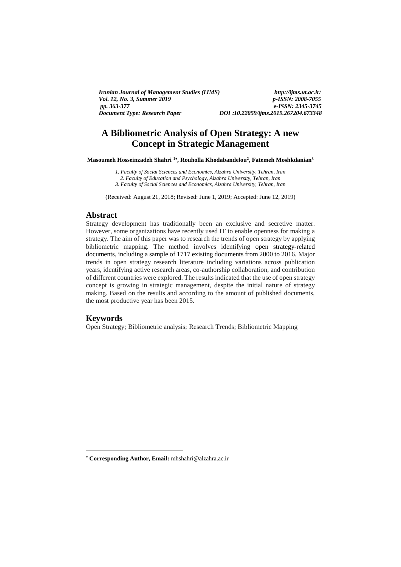*Iranian Journal of Management Studies (IJMS) http://ijms.ut.ac.ir/ Vol. 12, No. 3, Summer 2019*<br>pp. 363-377 *Document Type: Research Paper DOI* **:***10.22059/ijms.2019.267204.673348*

*pp. 363-377 e-ISSN: 2345-3745*

# **A Bibliometric Analysis of Open Strategy: A new Concept in Strategic Management**

**Masoumeh Hosseinzadeh Shahri <sup>1</sup> , Rouholla Khodabandelou<sup>2</sup> , Fatemeh Moshkdanian<sup>3</sup>**

*1. Faculty of Social Sciences and Economics, Alzahra University, Tehran, Iran*

*2. Faculty of Education and Psychology, Alzahra University, Tehran, Iran*

*3. Faculty of Social Sciences and Economics, Alzahra University, Tehran, Iran*

(Received: August 21, 2018; Revised: June 1, 2019; Accepted: June 12, 2019)

#### **Abstract**

Strategy development has traditionally been an exclusive and secretive matter. However, some organizations have recently used IT to enable openness for making a strategy. The aim of this paper was to research the trends of open strategy by applying bibliometric mapping. The method involves identifying open strategy-related documents, including a sample of 1717 existing documents from 2000 to 2016. Major trends in open strategy research literature including variations across publication years, identifying active research areas, co-authorship collaboration, and contribution of different countries were explored. The results indicated that the use of open strategy concept is growing in strategic management, despite the initial nature of strategy making. Based on the results and according to the amount of published documents, the most productive year has been 2015.

## **Keywords**

**.** 

Open Strategy; Bibliometric analysis; Research Trends; Bibliometric Mapping

**Corresponding Author, Email:** mhshahri@alzahra.ac.ir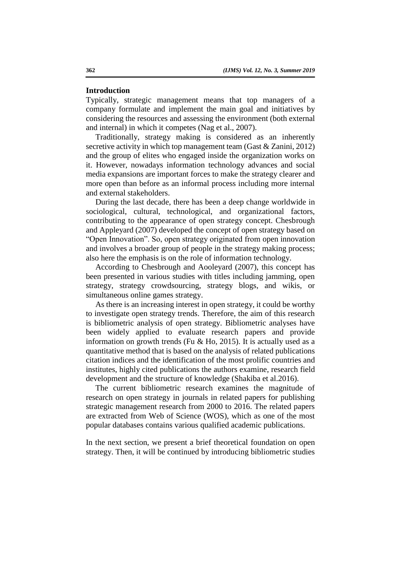### **Introduction**

Typically, strategic management means that top managers of a company formulate and implement the main goal and initiatives by considering the resources and assessing the environment (both external and internal) in which it competes (Nag et al., 2007).

Traditionally, strategy making is considered as an inherently secretive activity in which top management team (Gast & Zanini, 2012) and the group of elites who engaged inside the organization works on it. However, nowadays information technology advances and social media expansions are important forces to make the strategy clearer and more open than before as an informal process including more internal and external stakeholders.

During the last decade, there has been a deep change worldwide in sociological, cultural, technological, and organizational factors, contributing to the appearance of open strategy concept. Chesbrough and Appleyard (2007) developed the concept of open strategy based on "Open Innovation". So, open strategy originated from open innovation and involves a broader group of people in the strategy making process; also here the emphasis is on the role of information technology.

According to Chesbrough and Aooleyard (2007), this concept has been presented in various studies with titles including jamming, open strategy, strategy crowdsourcing, strategy blogs, and wikis, or simultaneous online games strategy.

As there is an increasing interest in open strategy, it could be worthy to investigate open strategy trends. Therefore, the aim of this research is bibliometric analysis of open strategy. Bibliometric analyses have been widely applied to evaluate research papers and provide information on growth trends (Fu & Ho, 2015). It is actually used as a quantitative method that is based on the analysis of related publications citation indices and the identification of the most prolific countries and institutes, highly cited publications the authors examine, research field development and the structure of knowledge (Shakiba et al.2016).

The current bibliometric research examines the magnitude of research on open strategy in journals in related papers for publishing strategic management research from 2000 to 2016. The related papers are extracted from Web of Science (WOS), which as one of the most popular databases contains various qualified academic publications.

In the next section, we present a brief theoretical foundation on open strategy. Then, it will be continued by introducing bibliometric studies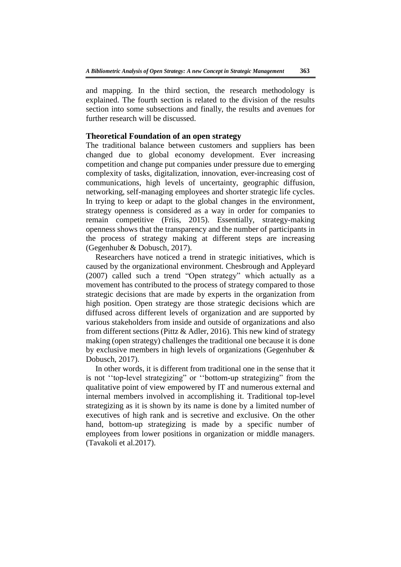and mapping. In the third section, the research methodology is explained. The fourth section is related to the division of the results section into some subsections and finally, the results and avenues for further research will be discussed.

## **Theoretical Foundation of an open strategy**

The traditional balance between customers and suppliers has been changed due to global economy development. Ever increasing competition and change put companies under pressure due to emerging complexity of tasks, digitalization, innovation, ever-increasing cost of communications, high levels of uncertainty, geographic diffusion, networking, self-managing employees and shorter strategic life cycles. In trying to keep or adapt to the global changes in the environment, strategy openness is considered as a way in order for companies to remain competitive (Friis, 2015). Essentially, strategy-making openness shows that the transparency and the number of participants in the process of strategy making at different steps are increasing (Gegenhuber & Dobusch, 2017).

Researchers have noticed a trend in strategic initiatives, which is caused by the organizational environment. Chesbrough and Appleyard (2007) called such a trend "Open strategy" which actually as a movement has contributed to the process of strategy compared to those strategic decisions that are made by experts in the organization from high position. Open strategy are those strategic decisions which are diffused across different levels of organization and are supported by various stakeholders from inside and outside of organizations and also from different sections (Pittz & Adler, 2016). This new kind of strategy making (open strategy) challenges the traditional one because it is done by exclusive members in high levels of organizations (Gegenhuber & Dobusch, 2017).

In other words, it is different from traditional one in the sense that it is not ''top-level strategizing" or ''bottom-up strategizing" from the qualitative point of view empowered by IT and numerous external and internal members involved in accomplishing it. Traditional top-level strategizing as it is shown by its name is done by a limited number of executives of high rank and is secretive and exclusive. On the other hand, bottom-up strategizing is made by a specific number of employees from lower positions in organization or middle managers. (Tavakoli et al.2017).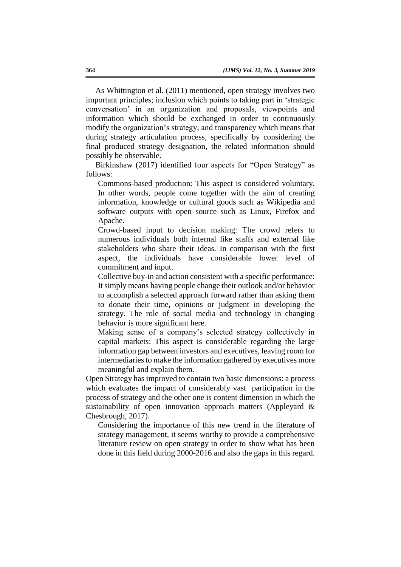As Whittington et al. (2011) mentioned, open strategy involves two important principles; inclusion which points to taking part in 'strategic conversation' in an organization and proposals, viewpoints and information which should be exchanged in order to continuously modify the organization's strategy; and transparency which means that during strategy articulation process, specifically by considering the final produced strategy designation, the related information should possibly be observable.

Birkinshaw (2017) identified four aspects for "Open Strategy" as follows:

Commons-based production: This aspect is considered voluntary. In other words, people come together with the aim of creating information, knowledge or cultural goods such as Wikipedia and software outputs with open source such as Linux, Firefox and Apache.

Crowd-based input to decision making: The crowd refers to numerous individuals both internal like staffs and external like stakeholders who share their ideas. In comparison with the first aspect, the individuals have considerable lower level of commitment and input.

Collective buy-in and action consistent with a specific performance: It simply means having people change their outlook and/or behavior to accomplish a selected approach forward rather than asking them to donate their time, opinions or judgment in developing the strategy. The role of social media and technology in changing behavior is more significant here.

Making sense of a company's selected strategy collectively in capital markets: This aspect is considerable regarding the large information gap between investors and executives, leaving room for intermediaries to make the information gathered by executives more meaningful and explain them.

Open Strategy has improved to contain two basic dimensions: a process which evaluates the impact of considerably vast participation in the process of strategy and the other one is content dimension in which the sustainability of open innovation approach matters (Appleyard & Chesbrough, 2017).

Considering the importance of this new trend in the literature of strategy management, it seems worthy to provide a comprehensive literature review on open strategy in order to show what has been done in this field during 2000-2016 and also the gaps in this regard.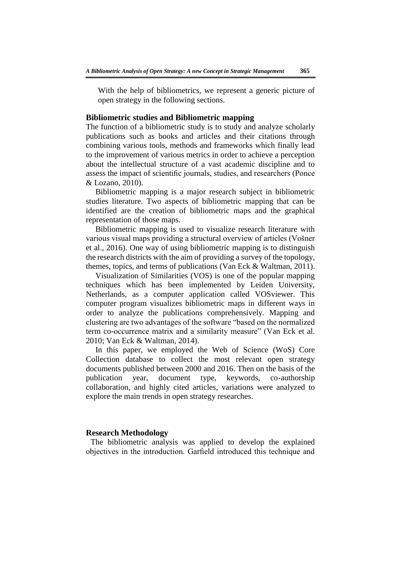With the help of bibliometrics, we represent a generic picture of open strategy in the following sections.

## **Bibliometric studies and Bibliometric mapping**

The function of a bibliometric study is to study and analyze scholarly publications such as books and articles and their citations through combining various tools, methods and frameworks which finally lead to the improvement of various metrics in order to achieve a perception about the intellectual structure of a vast academic discipline and to assess the impact of scientific journals, studies, and researchers (Ponce & Lozano, 2010).

Bibliometric mapping is a major research subject in bibliometric studies literature. Two aspects of bibliometric mapping that can be identified are the creation of bibliometric maps and the graphical representation of those maps.

Bibliometric mapping is used to visualize research literature with various visual maps providing a structural overview of articles (Vošner et al., 2016). One way of using bibliometric mapping is to distinguish the research districts with the aim of providing a survey of the topology, themes, topics, and terms of publications (Van Eck & Waltman, 2011).

Visualization of Similarities (VOS) is one of the popular mapping techniques which has been implemented by Leiden University, Netherlands, as a computer application called VOSviewer. This computer program visualizes bibliometric maps in different ways in order to analyze the publications comprehensively. Mapping and clustering are two advantages of the software "based on the normalized term co-occurrence matrix and a similarity measure" (Van Eck et al. 2010; Van Eck & Waltman, 2014).

In this paper, we employed the Web of Science (WoS) Core Collection database to collect the most relevant open strategy documents published between 2000 and 2016. Then on the basis of the publication year, document type, keywords, co-authorship collaboration, and highly cited articles, variations were analyzed to explore the main trends in open strategy researches.

## **Research Methodology**

The bibliometric analysis was applied to develop the explained objectives in the introduction. Garfield introduced this technique and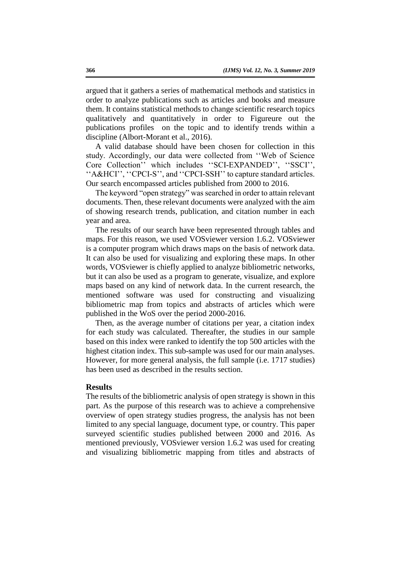argued that it gathers a series of mathematical methods and statistics in order to analyze publications such as articles and books and measure them. It contains statistical methods to change scientific research topics qualitatively and quantitatively in order to Figureure out the publications profiles on the topic and to identify trends within a discipline (Albort-Morant et al., 2016).

A valid database should have been chosen for collection in this study. Accordingly, our data were collected from ''Web of Science Core Collection'' which includes ''SCI-EXPANDED'', ''SSCI'', ''A&HCI'', ''CPCI-S'', and ''CPCI-SSH'' to capture standard articles. Our search encompassed articles published from 2000 to 2016.

The keyword "open strategy" was searched in order to attain relevant documents. Then, these relevant documents were analyzed with the aim of showing research trends, publication, and citation number in each year and area.

The results of our search have been represented through tables and maps. For this reason, we used VOSviewer version 1.6.2. VOSviewer is a computer program which draws maps on the basis of network data. It can also be used for visualizing and exploring these maps. In other words, VOSviewer is chiefly applied to analyze bibliometric networks, but it can also be used as a program to generate, visualize, and explore maps based on any kind of network data. In the current research, the mentioned software was used for constructing and visualizing bibliometric map from topics and abstracts of articles which were published in the WoS over the period 2000-2016.

Then, as the average number of citations per year, a citation index for each study was calculated. Thereafter, the studies in our sample based on this index were ranked to identify the top 500 articles with the highest citation index. This sub-sample was used for our main analyses. However, for more general analysis, the full sample (i.e. 1717 studies) has been used as described in the results section.

#### **Results**

The results of the bibliometric analysis of open strategy is shown in this part. As the purpose of this research was to achieve a comprehensive overview of open strategy studies progress, the analysis has not been limited to any special language, document type, or country. This paper surveyed scientific studies published between 2000 and 2016. As mentioned previously, VOSviewer version 1.6.2 was used for creating and visualizing bibliometric mapping from titles and abstracts of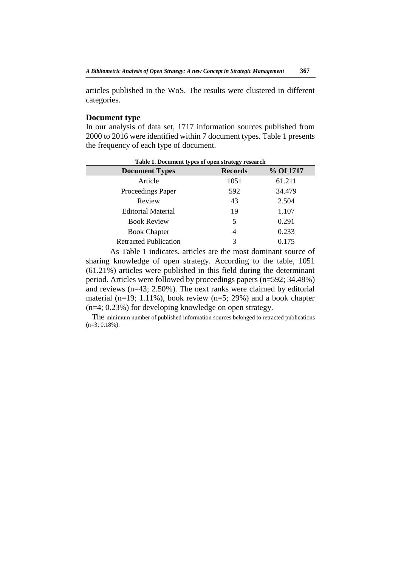articles published in the WoS. The results were clustered in different categories.

## **Document type**

In our analysis of data set, 1717 information sources published from 2000 to 2016 were identified within 7 document types. Table 1 presents the frequency of each type of document.

| Table 1. Document types of open strategy research |                |           |  |  |
|---------------------------------------------------|----------------|-----------|--|--|
| <b>Document Types</b>                             | <b>Records</b> | % Of 1717 |  |  |
| Article                                           | 1051           | 61.211    |  |  |
| Proceedings Paper                                 | 592            | 34.479    |  |  |
| Review                                            | 43             | 2.504     |  |  |
| <b>Editorial Material</b>                         | 19             | 1.107     |  |  |
| <b>Book Review</b>                                | 5              | 0.291     |  |  |
| <b>Book Chapter</b>                               | 4              | 0.233     |  |  |
| <b>Retracted Publication</b>                      | 3              | 0.175     |  |  |

 As Table 1 indicates, articles are the most dominant source of sharing knowledge of open strategy. According to the table, 1051 (61.21%) articles were published in this field during the determinant period. Articles were followed by proceedings papers (n=592; 34.48%) and reviews (n=43; 2.50%). The next ranks were claimed by editorial material (n=19; 1.11%), book review (n=5; 29%) and a book chapter (n=4; 0.23%) for developing knowledge on open strategy.

 The minimum number of published information sources belonged to retracted publications (n=3; 0.18%).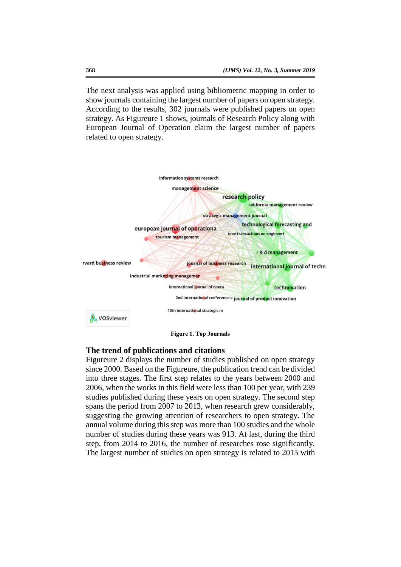The next analysis was applied using bibliometric mapping in order to show journals containing the largest number of papers on open strategy. According to the results, 302 journals were published papers on open strategy. As Figureure 1 shows, journals of Research Policy along with European Journal of Operation claim the largest number of papers related to open strategy.



# **The trend of publications and citations**

Figureure 2 displays the number of studies published on open strategy since 2000. Based on the Figureure, the publication trend can be divided into three stages. The first step relates to the years between 2000 and 2006, when the works in this field were less than 100 per year, with 239 studies published during these years on open strategy. The second step spans the period from 2007 to 2013, when research grew considerably, suggesting the growing attention of researchers to open strategy. The annual volume during this step was more than 100 studies and the whole number of studies during these years was 913. At last, during the third step, from 2014 to 2016, the number of researches rose significantly. The largest number of studies on open strategy is related to 2015 with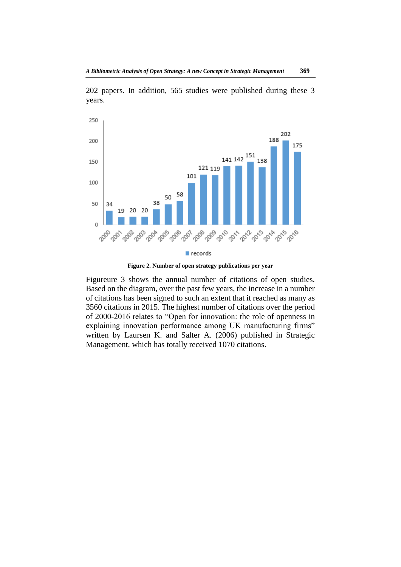

202 papers. In addition, 565 studies were published during these 3 years.

**Figure 2. Number of open strategy publications per year**

Figureure 3 shows the annual number of citations of open studies. Based on the diagram, over the past few years, the increase in a number of citations has been signed to such an extent that it reached as many as 3560 citations in 2015. The highest number of citations over the period of 2000-2016 relates to "Open for innovation: the role of openness in explaining innovation performance among UK manufacturing firms" written by Laursen K. and Salter A. (2006) published in Strategic Management, which has totally received 1070 citations.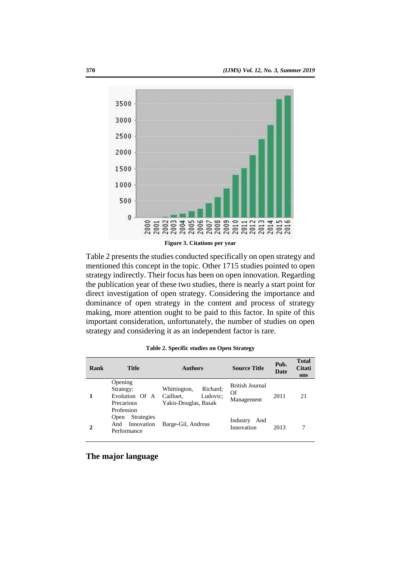

Table 2 presents the studies conducted specifically on open strategy and mentioned this concept in the topic. Other 1715 studies pointed to open strategy indirectly. Their focus has been on open innovation. Regarding the publication year of these two studies, there is nearly a start point for direct investigation of open strategy. Considering the importance and dominance of open strategy in the content and process of strategy making, more attention ought to be paid to this factor. In spite of this important consideration, unfortunately, the number of studies on open strategy and considering it as an independent factor is rare.

| Rank | <b>Title</b>                                                                | <b>Authors</b>                                                            | <b>Source Title</b>                 | Pub.<br><b>Date</b> | <b>Total</b><br><b>Citati</b><br>ons |
|------|-----------------------------------------------------------------------------|---------------------------------------------------------------------------|-------------------------------------|---------------------|--------------------------------------|
|      | Opening<br>Strategy:<br>Evolution Of A<br>Precarious                        | Richard:<br>Whittington,<br>Cailluet,<br>Ludovic:<br>Yakis-Douglas, Basak | British Journal<br>Of<br>Management | 2011                | 21                                   |
|      | Profession<br><b>Strategies</b><br>Open<br>Innovation<br>And<br>Performance | Barge-Gil, Andreas                                                        | Industry<br>And<br>Innovation       | 2013                |                                      |

**Table 2. Specific studies on Open Strategy**

**The major language**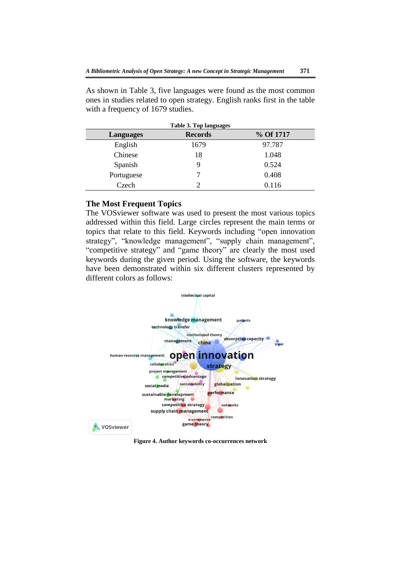As shown in Table 3, five languages were found as the most common ones in studies related to open strategy. English ranks first in the table with a frequency of 1679 studies.

| Languages  | <b>Records</b> | % Of 1717 |
|------------|----------------|-----------|
| English    | 1679           | 97.787    |
| Chinese    | 18             | 1.048     |
| Spanish    |                | 0.524     |
| Portuguese |                | 0.408     |
| Czech      |                | 0.116     |

## **The Most Frequent Topics**

The VOSviewer software was used to present the most various topics addressed within this field. Large circles represent the main terms or topics that relate to this field. Keywords including "open innovation strategy", "knowledge management", "supply chain management", "competitive strategy" and "game theory" are clearly the most used keywords during the given period. Using the software, the keywords have been demonstrated within six different clusters represented by different colors as follows:



**Figure 4. Author keywords co-occurrences network**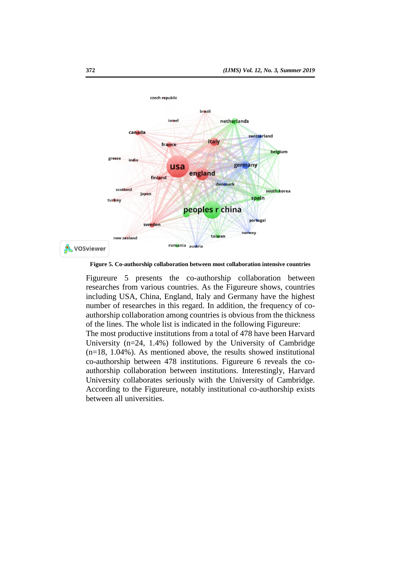

**Figure 5. Co-authorship collaboration between most collaboration intensive countries**

Figureure 5 presents the co-authorship collaboration between researches from various countries. As the Figureure shows, countries including USA, China, England, Italy and Germany have the highest number of researches in this regard. In addition, the frequency of coauthorship collaboration among countries is obvious from the thickness of the lines. The whole list is indicated in the following Figureure:

The most productive institutions from a total of 478 have been Harvard University (n=24, 1.4%) followed by the University of Cambridge (n=18, 1.04%). As mentioned above, the results showed institutional co-authorship between 478 institutions. Figureure 6 reveals the coauthorship collaboration between institutions. Interestingly, Harvard University collaborates seriously with the University of Cambridge. According to the Figureure, notably institutional co-authorship exists between all universities.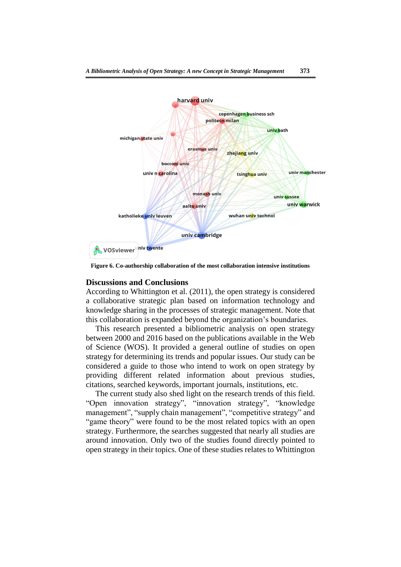

**Figure 6. Co-authorship collaboration of the most collaboration intensive institutions**

#### **Discussions and Conclusions**

According to Whittington et al. (2011), the open strategy is considered a collaborative strategic plan based on information technology and knowledge sharing in the processes of strategic management. Note that this collaboration is expanded beyond the organization's boundaries.

This research presented a bibliometric analysis on open strategy between 2000 and 2016 based on the publications available in the Web of Science (WOS). It provided a general outline of studies on open strategy for determining its trends and popular issues. Our study can be considered a guide to those who intend to work on open strategy by providing different related information about previous studies, citations, searched keywords, important journals, institutions, etc.

The current study also shed light on the research trends of this field. "Open innovation strategy", "innovation strategy", "knowledge management", "supply chain management", "competitive strategy" and "game theory" were found to be the most related topics with an open strategy. Furthermore, the searches suggested that nearly all studies are around innovation. Only two of the studies found directly pointed to open strategy in their topics. One of these studies relates to Whittington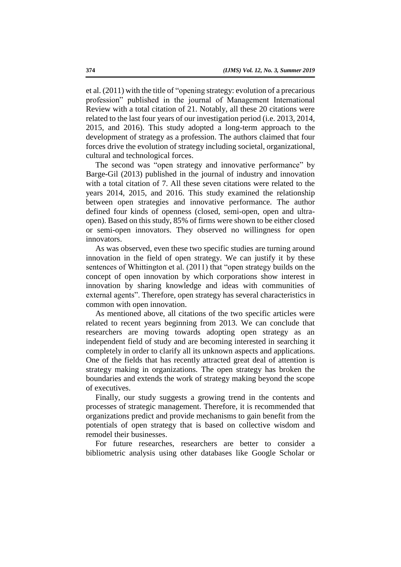et al. (2011) with the title of "opening strategy: evolution of a precarious profession" published in the journal of Management International Review with a total citation of 21. Notably, all these 20 citations were related to the last four years of our investigation period (i.e. 2013, 2014, 2015, and 2016). This study adopted a long-term approach to the development of strategy as a profession. The authors claimed that four forces drive the evolution of strategy including societal, organizational, cultural and technological forces.

The second was "open strategy and innovative performance" by Barge-Gil (2013) published in the journal of industry and innovation with a total citation of 7. All these seven citations were related to the years 2014, 2015, and 2016. This study examined the relationship between open strategies and innovative performance. The author defined four kinds of openness (closed, semi-open, open and ultraopen). Based on this study, 85% of firms were shown to be either closed or semi-open innovators. They observed no willingness for open innovators.

As was observed, even these two specific studies are turning around innovation in the field of open strategy. We can justify it by these sentences of Whittington et al. (2011) that "open strategy builds on the concept of open innovation by which corporations show interest in innovation by sharing knowledge and ideas with communities of external agents". Therefore, open strategy has several characteristics in common with open innovation.

As mentioned above, all citations of the two specific articles were related to recent years beginning from 2013. We can conclude that researchers are moving towards adopting open strategy as an independent field of study and are becoming interested in searching it completely in order to clarify all its unknown aspects and applications. One of the fields that has recently attracted great deal of attention is strategy making in organizations. The open strategy has broken the boundaries and extends the work of strategy making beyond the scope of executives.

Finally, our study suggests a growing trend in the contents and processes of strategic management. Therefore, it is recommended that organizations predict and provide mechanisms to gain benefit from the potentials of open strategy that is based on collective wisdom and remodel their businesses.

For future researches, researchers are better to consider a bibliometric analysis using other databases like Google Scholar or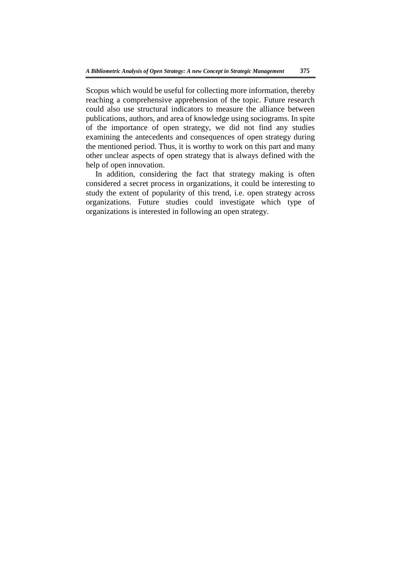Scopus which would be useful for collecting more information, thereby reaching a comprehensive apprehension of the topic. Future research could also use structural indicators to measure the alliance between publications, authors, and area of knowledge using sociograms. In spite of the importance of open strategy, we did not find any studies examining the antecedents and consequences of open strategy during the mentioned period. Thus, it is worthy to work on this part and many other unclear aspects of open strategy that is always defined with the help of open innovation.

In addition, considering the fact that strategy making is often considered a secret process in organizations, it could be interesting to study the extent of popularity of this trend, i.e. open strategy across organizations. Future studies could investigate which type of organizations is interested in following an open strategy.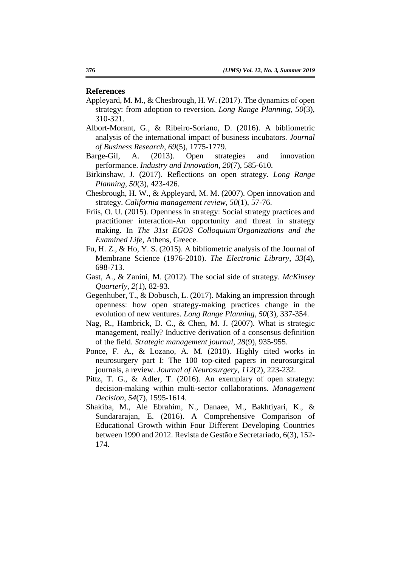### **References**

- Appleyard, M. M., & Chesbrough, H. W. (2017). The dynamics of open strategy: from adoption to reversion. *Long Range Planning*, *50*(3), 310-321.
- Albort-Morant, G., & Ribeiro-Soriano, D. (2016). A bibliometric analysis of the international impact of business incubators. *Journal of Business Research*, *69*(5), 1775-1779.
- Barge-Gil, A. (2013). Open strategies and innovation performance. *Industry and Innovation*, *20*(7), 585-610.
- Birkinshaw, J. (2017). Reflections on open strategy. *Long Range Planning*, *50*(3), 423-426.
- Chesbrough, H. W., & Appleyard, M. M. (2007). Open innovation and strategy. *California management review*, *50*(1), 57-76.
- Friis, O. U. (2015). Openness in strategy: Social strategy practices and practitioner interaction-An opportunity and threat in strategy making. In *The 31st EGOS Colloquium'Organizations and the Examined Life*, Athens, Greece.
- Fu, H. Z., & Ho, Y. S. (2015). A bibliometric analysis of the Journal of Membrane Science (1976-2010). *The Electronic Library*, *33*(4), 698-713.
- Gast, A., & Zanini, M. (2012). The social side of strategy. *McKinsey Quarterly*, *2*(1), 82-93.
- Gegenhuber, T., & Dobusch, L. (2017). Making an impression through openness: how open strategy-making practices change in the evolution of new ventures. *Long Range Planning*, *50*(3), 337-354.
- Nag, R., Hambrick, D. C., & Chen, M. J. (2007). What is strategic management, really? Inductive derivation of a consensus definition of the field. *Strategic management journal*, *28*(9), 935-955.
- Ponce, F. A., & Lozano, A. M. (2010). Highly cited works in neurosurgery part I: The 100 top-cited papers in neurosurgical journals, a review. *Journal of Neurosurgery, 112*(2), 223-232.
- Pittz, T. G., & Adler, T. (2016). An exemplary of open strategy: decision-making within multi-sector collaborations. *Management Decision*, *54*(7), 1595-1614.
- Shakiba, M., Ale Ebrahim, N., Danaee, M., Bakhtiyari, K., & Sundararajan, E. (2016). A Comprehensive Comparison of Educational Growth within Four Different Developing Countries between 1990 and 2012. Revista de Gestão e Secretariado, 6(3), 152- 174.